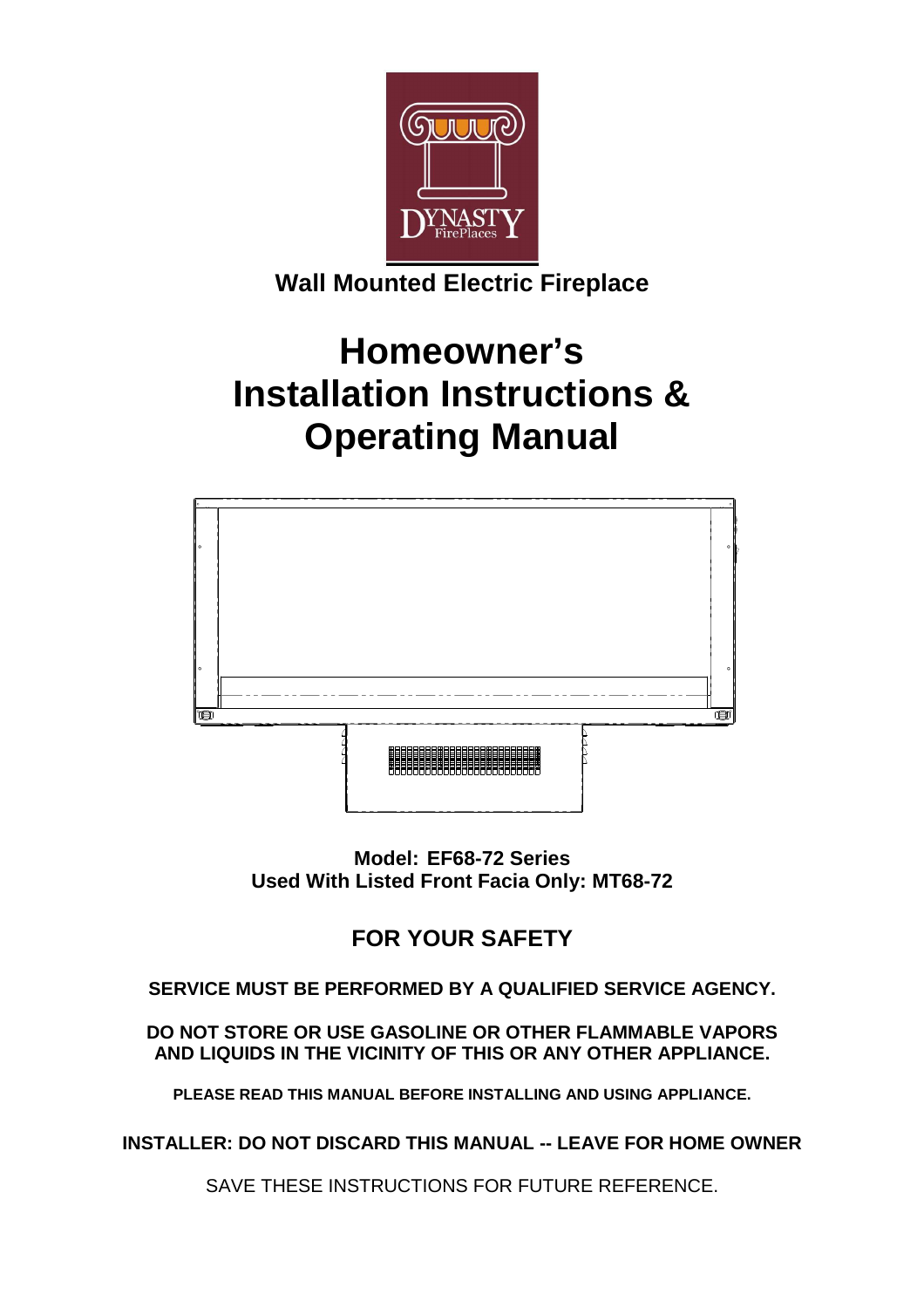

## **Wall Mounted Electric Fireplace**

# **Homeowner's Installation Instructions & Operating Manual**



**Model: EF68-72 Series Used With Listed Front Facia Only: MT68-72** 

**FOR YOUR SAFETY** 

**SERVICE MUST BE PERFORMED BY A QUALIFIED SERVICE AGENCY.** 

**DO NOT STORE OR USE GASOLINE OR OTHER FLAMMABLE VAPORS AND LIQUIDS IN THE VICINITY OF THIS OR ANY OTHER APPLIANCE.** 

**PLEASE READ THIS MANUAL BEFORE INSTALLING AND USING APPLIANCE.**

**INSTALLER: DO NOT DISCARD THIS MANUAL -- LEAVE FOR HOME OWNER** 

SAVE THESE INSTRUCTIONS FOR FUTURE REFERENCE.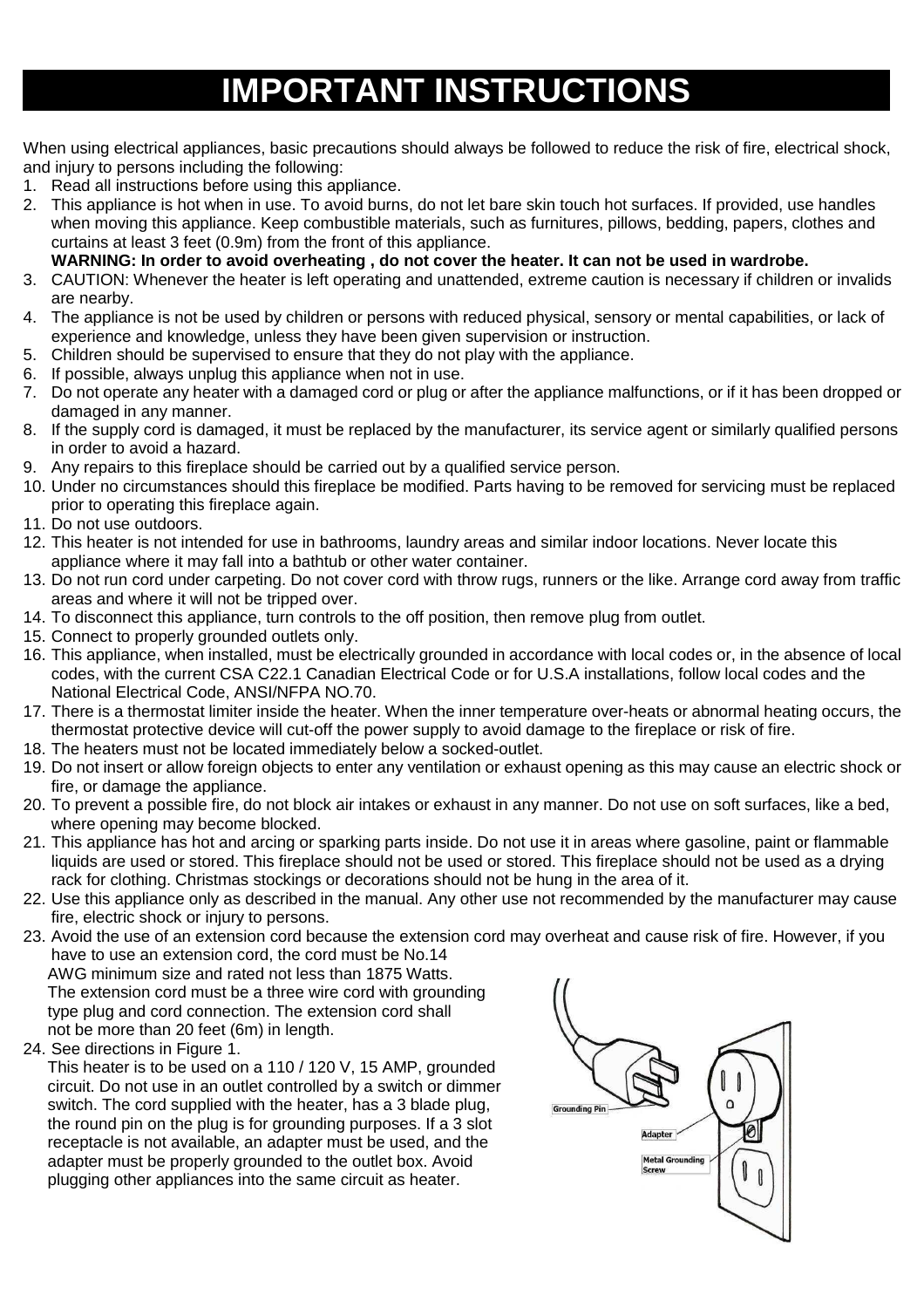# **IMPORTANT INSTRUCTIONS**

When using electrical appliances, basic precautions should always be followed to reduce the risk of fire, electrical shock, and injury to persons including the following:

- 1. Read all instructions before using this appliance.
- 2. This appliance is hot when in use. To avoid burns, do not let bare skin touch hot surfaces. If provided, use handles when moving this appliance. Keep combustible materials, such as furnitures, pillows, bedding, papers, clothes and curtains at least 3 feet (0.9m) from the front of this appliance.
	- **WARNING: In order to avoid overheating , do not cover the heater. It can not be used in wardrobe.**
- 3. CAUTION: Whenever the heater is left operating and unattended, extreme caution is necessary if children or invalids are nearby.
- 4. The appliance is not be used by children or persons with reduced physical, sensory or mental capabilities, or lack of experience and knowledge, unless they have been given supervision or instruction.
- 5. Children should be supervised to ensure that they do not play with the appliance.
- 6. If possible, always unplug this appliance when not in use.
- 7. Do not operate any heater with a damaged cord or plug or after the appliance malfunctions, or if it has been dropped or damaged in any manner.
- 8. If the supply cord is damaged, it must be replaced by the manufacturer, its service agent or similarly qualified persons in order to avoid a hazard.
- 9. Any repairs to this fireplace should be carried out by a qualified service person.
- 10. Under no circumstances should this fireplace be modified. Parts having to be removed for servicing must be replaced prior to operating this fireplace again.
- 11. Do not use outdoors.
- 12. This heater is not intended for use in bathrooms, laundry areas and similar indoor locations. Never locate this appliance where it may fall into a bathtub or other water container.
- 13. Do not run cord under carpeting. Do not cover cord with throw rugs, runners or the like. Arrange cord away from traffic areas and where it will not be tripped over.
- 14. To disconnect this appliance, turn controls to the off position, then remove plug from outlet.
- 15. Connect to properly grounded outlets only.
- 16. This appliance, when installed, must be electrically grounded in accordance with local codes or, in the absence of local codes, with the current CSA C22.1 Canadian Electrical Code or for U.S.A installations, follow local codes and the National Electrical Code, ANSI/NFPA NO.70.
- 17. There is a thermostat limiter inside the heater. When the inner temperature over-heats or abnormal heating occurs, the thermostat protective device will cut-off the power supply to avoid damage to the fireplace or risk of fire.
- 18. The heaters must not be located immediately below a socked-outlet.
- 19. Do not insert or allow foreign objects to enter any ventilation or exhaust opening as this may cause an electric shock or fire, or damage the appliance.
- 20. To prevent a possible fire, do not block air intakes or exhaust in any manner. Do not use on soft surfaces, like a bed, where opening may become blocked.
- 21. This appliance has hot and arcing or sparking parts inside. Do not use it in areas where gasoline, paint or flammable liquids are used or stored. This fireplace should not be used or stored. This fireplace should not be used as a drying rack for clothing. Christmas stockings or decorations should not be hung in the area of it.
- 22. Use this appliance only as described in the manual. Any other use not recommended by the manufacturer may cause fire, electric shock or injury to persons.
- 23. Avoid the use of an extension cord because the extension cord may overheat and cause risk of fire. However, if you have to use an extension cord, the cord must be No.14

AWG minimum size and rated not less than 1875 Watts. The extension cord must be a three wire cord with grounding type plug and cord connection. The extension cord shall not be more than 20 feet (6m) in length.

24. See directions in Figure 1.

This heater is to be used on a 110 / 120 V, 15 AMP, grounded circuit. Do not use in an outlet controlled by a switch or dimmer switch. The cord supplied with the heater, has a 3 blade plug, the round pin on the plug is for grounding purposes. If a 3 slot receptacle is not available, an adapter must be used, and the adapter must be properly grounded to the outlet box. Avoid plugging other appliances into the same circuit as heater.

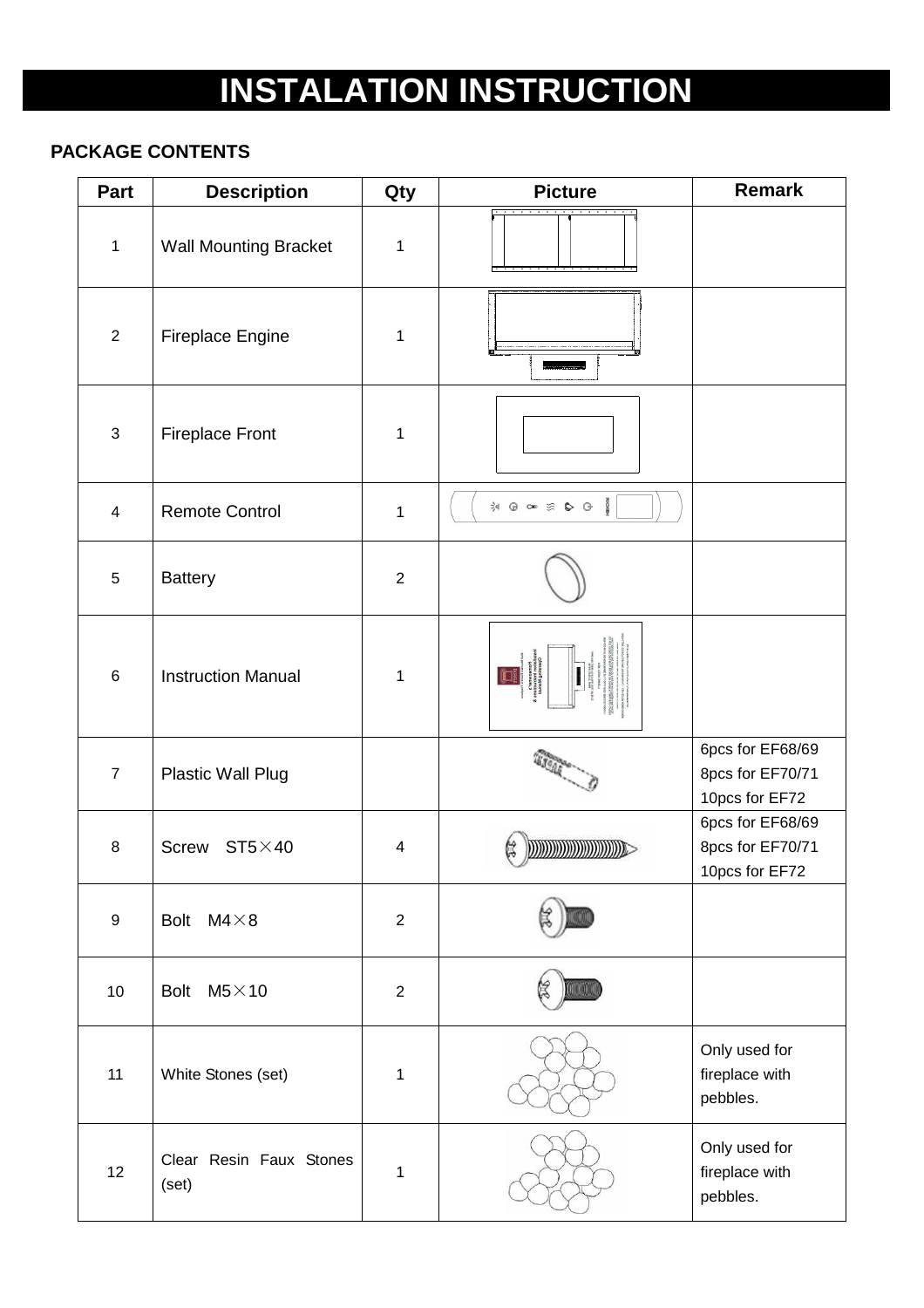# **INSTALATION INSTRUCTION**

### **PACKAGE CONTENTS**

| Part             | <b>Description</b>               | Qty            | <b>Picture</b>          | Remark                                                 |
|------------------|----------------------------------|----------------|-------------------------|--------------------------------------------------------|
| $\mathbf{1}$     | <b>Wall Mounting Bracket</b>     | $\mathbf 1$    |                         |                                                        |
| $\overline{2}$   | Fireplace Engine                 | 1              |                         |                                                        |
| $\sqrt{3}$       | <b>Fireplace Front</b>           | 1              |                         |                                                        |
| 4                | <b>Remote Control</b>            | $\mathbf{1}$   | <b>BOOM</b><br>3000 200 |                                                        |
| 5                | <b>Battery</b>                   | $\overline{2}$ |                         |                                                        |
| 6                | <b>Instruction Manual</b>        | $\mathbf 1$    |                         |                                                        |
| $\overline{7}$   | Plastic Wall Plug                |                |                         | 6pcs for EF68/69<br>8pcs for EF70/71<br>10pcs for EF72 |
| 8                | $ST5\times 40$<br><b>Screw</b>   | 4              |                         | 6pcs for EF68/69<br>8pcs for EF70/71<br>10pcs for EF72 |
| $\boldsymbol{9}$ | Bolt $M4 \times 8$               | $\overline{2}$ |                         |                                                        |
| 10               | $M5 \times 10$<br><b>Bolt</b>    | $\mathbf{2}$   |                         |                                                        |
| 11               | White Stones (set)               | $\mathbf{1}$   |                         | Only used for<br>fireplace with<br>pebbles.            |
| 12               | Clear Resin Faux Stones<br>(set) | $\mathbf{1}$   |                         | Only used for<br>fireplace with<br>pebbles.            |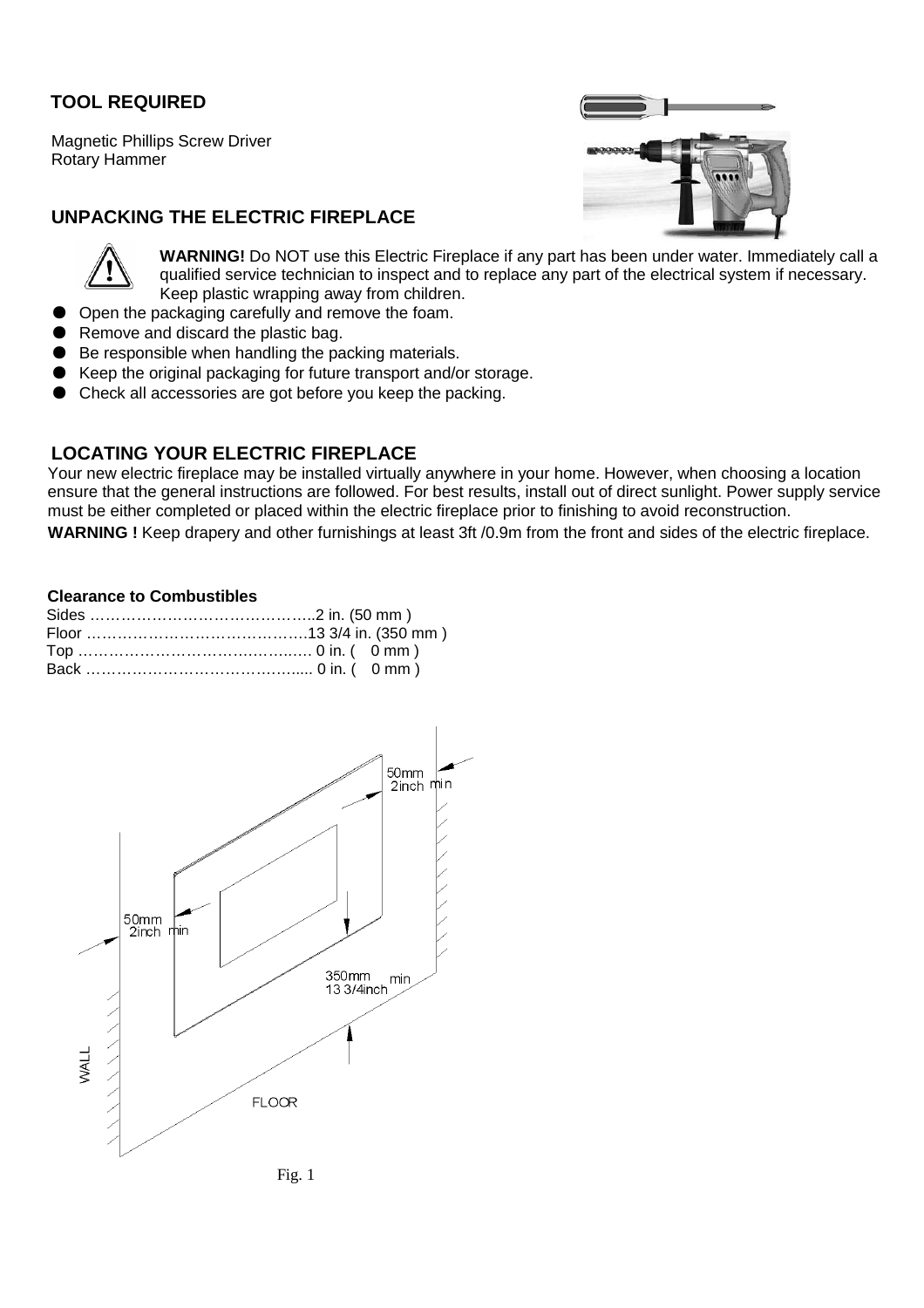### **TOOL REQUIRED**

Magnetic Phillips Screw Driver Rotary Hammer



### **UNPACKING THE ELECTRIC FIREPLACE**

**WARNING!** Do NOT use this Electric Fireplace if any part has been under water. Immediately call a qualified service technician to inspect and to replace any part of the electrical system if necessary. Keep plastic wrapping away from children.

- Open the packaging carefully and remove the foam.
- Remove and discard the plastic bag.
- Be responsible when handling the packing materials.
- Keep the original packaging for future transport and/or storage.
- Check all accessories are got before you keep the packing.

### **LOCATING YOUR ELECTRIC FIREPLACE**

Your new electric fireplace may be installed virtually anywhere in your home. However, when choosing a location ensure that the general instructions are followed. For best results, install out of direct sunlight. Power supply service must be either completed or placed within the electric fireplace prior to finishing to avoid reconstruction.

**WARNING !** Keep drapery and other furnishings at least 3ft /0.9m from the front and sides of the electric fireplace.

#### **Clearance to Combustibles**



Fig. 1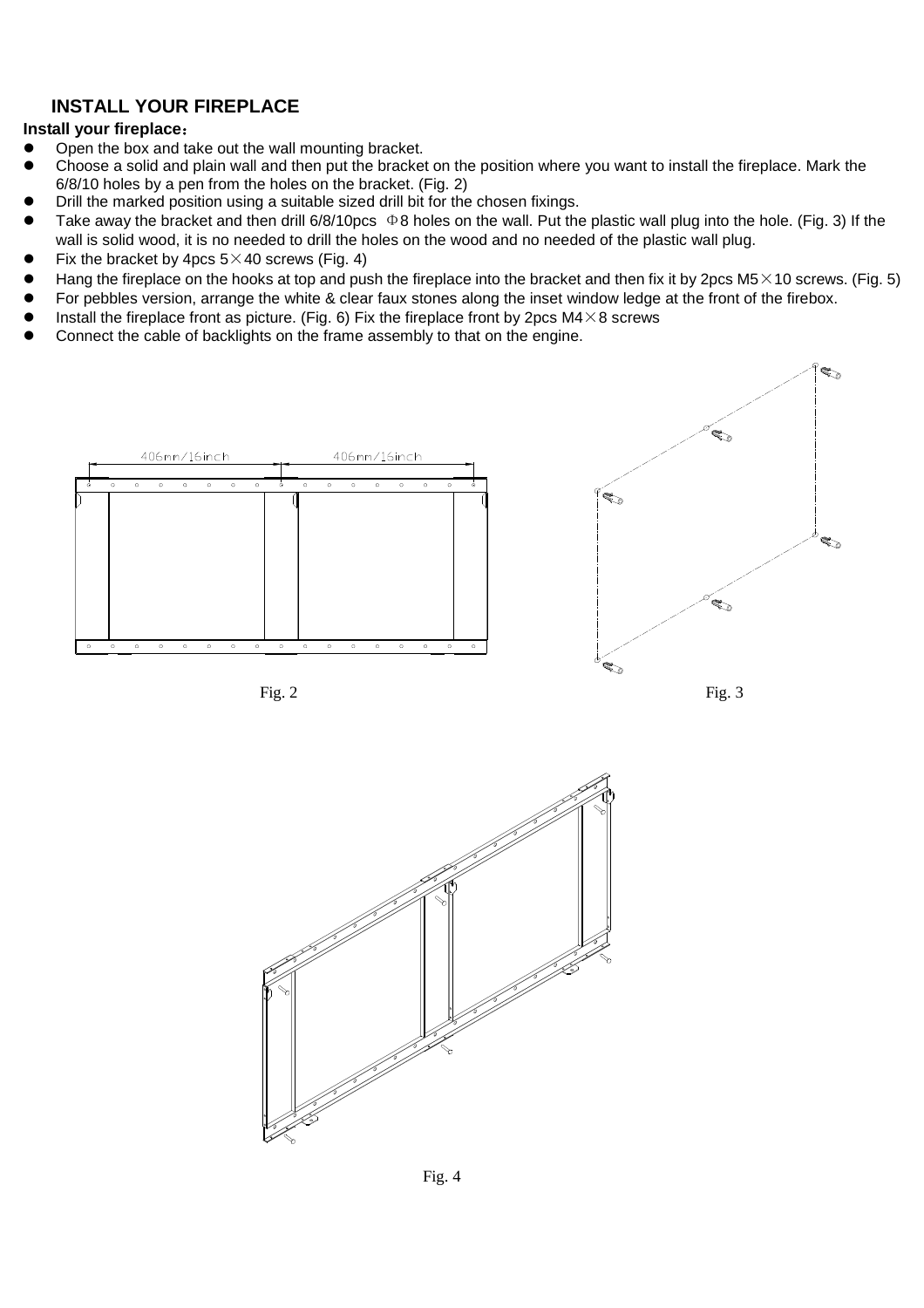### **INSTALL YOUR FIREPLACE**

#### **Install your fireplace**:

- Open the box and take out the wall mounting bracket.
- Choose a solid and plain wall and then put the bracket on the position where you want to install the fireplace. Mark the 6/8/10 holes by a pen from the holes on the bracket. (Fig. 2)
- Drill the marked position using a suitable sized drill bit for the chosen fixings.
- Take away the bracket and then drill 6/8/10pcs  $\Phi$ 8 holes on the wall. Put the plastic wall plug into the hole. (Fig. 3) If the wall is solid wood, it is no needed to drill the holes on the wood and no needed of the plastic wall plug.
- Fix the bracket by 4pcs  $5 \times 40$  screws (Fig. 4)
- Hang the fireplace on the hooks at top and push the fireplace into the bracket and then fix it by 2pcs M5 $\times$ 10 screws. (Fig. 5)
- For pebbles version, arrange the white & clear faux stones along the inset window ledge at the front of the firebox.
- Install the fireplace front as picture. (Fig. 6) Fix the fireplace front by 2pcs  $M4\times8$  screws
- Connect the cable of backlights on the frame assembly to that on the engine.











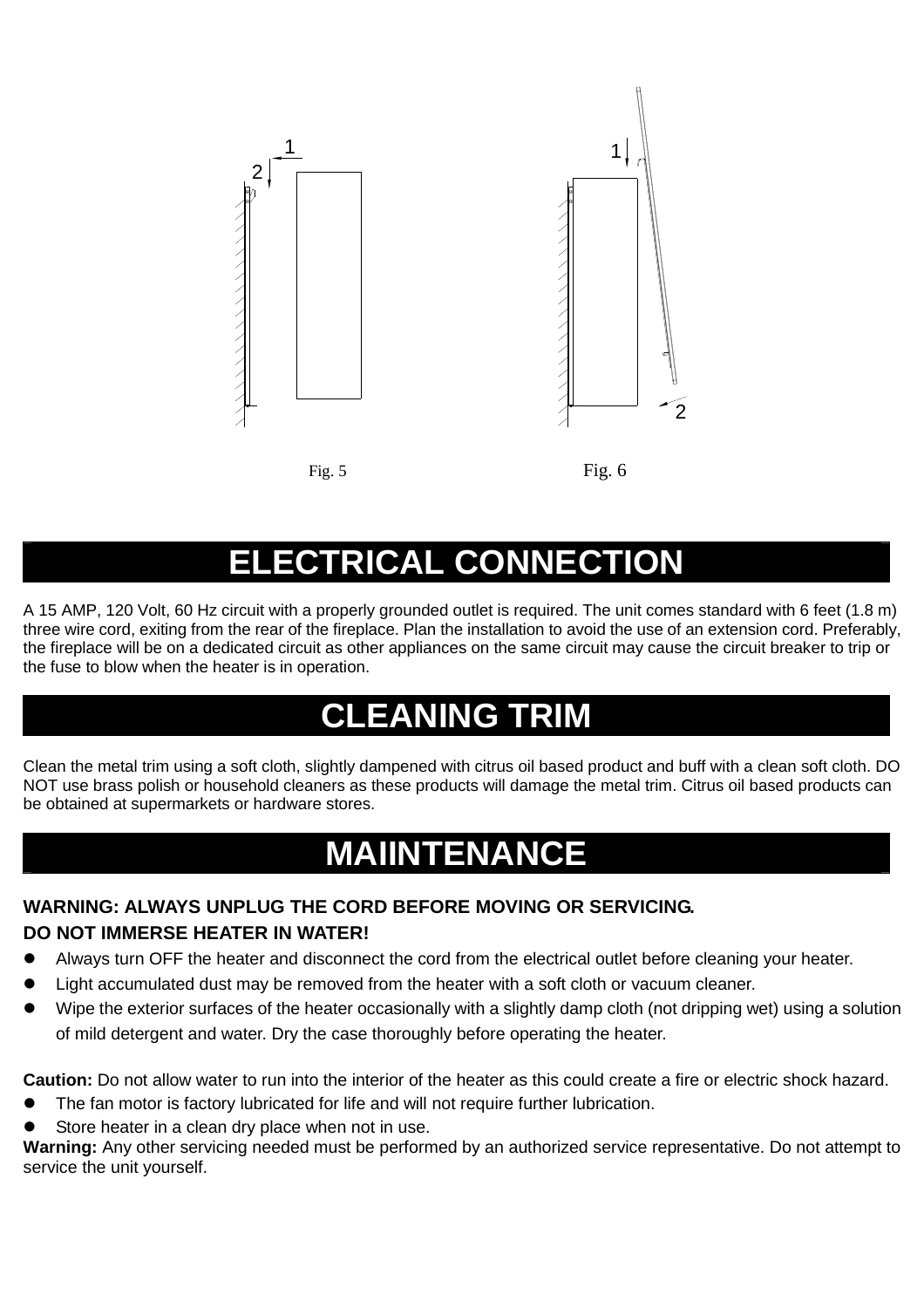

Fig.  $5$  Fig.  $6$ 

## **ELECTRICAL CONNECTION**

A 15 AMP, 120 Volt, 60 Hz circuit with a properly grounded outlet is required. The unit comes standard with 6 feet (1.8 m) three wire cord, exiting from the rear of the fireplace. Plan the installation to avoid the use of an extension cord. Preferably, the fireplace will be on a dedicated circuit as other appliances on the same circuit may cause the circuit breaker to trip or the fuse to blow when the heater is in operation.

## **CLEANING TRIM**

Clean the metal trim using a soft cloth, slightly dampened with citrus oil based product and buff with a clean soft cloth. DO NOT use brass polish or household cleaners as these products will damage the metal trim. Citrus oil based products can be obtained at supermarkets or hardware stores.

# **MAIINTENANCE**

### **WARNING: ALWAYS UNPLUG THE CORD BEFORE MOVING OR SERVICING. DO NOT IMMERSE HEATER IN WATER!**

- Always turn OFF the heater and disconnect the cord from the electrical outlet before cleaning your heater.
- Light accumulated dust may be removed from the heater with a soft cloth or vacuum cleaner.
- Wipe the exterior surfaces of the heater occasionally with a slightly damp cloth (not dripping wet) using a solution of mild detergent and water. Dry the case thoroughly before operating the heater.

**Caution:** Do not allow water to run into the interior of the heater as this could create a fire or electric shock hazard.

- The fan motor is factory lubricated for life and will not require further lubrication.
- Store heater in a clean dry place when not in use.

**Warning:** Any other servicing needed must be performed by an authorized service representative. Do not attempt to service the unit yourself.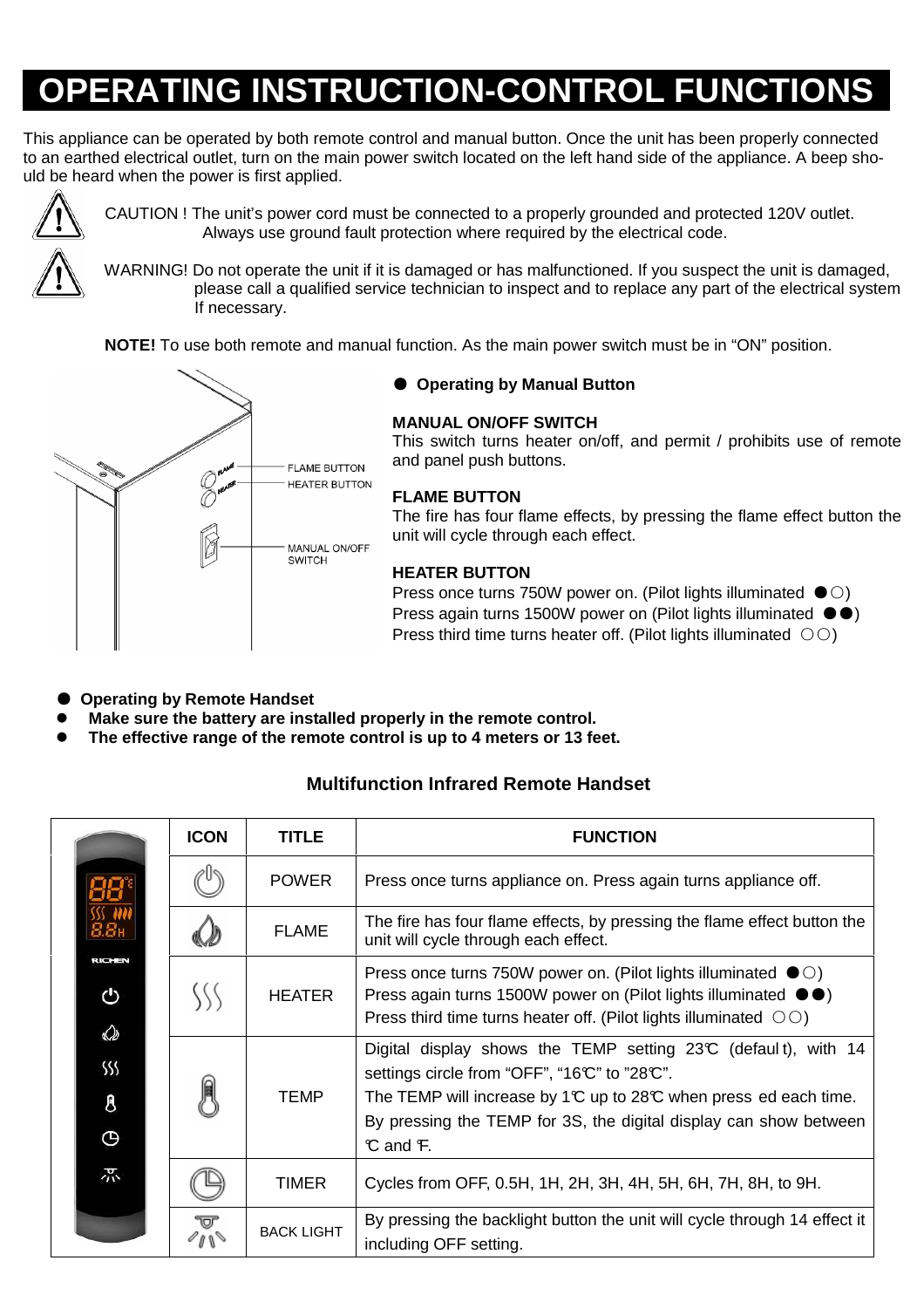# **OPERATING INSTRUCTION-CONTROL FUNCTIONS**

This appliance can be operated by both remote control and manual button. Once the unit has been properly connected to an earthed electrical outlet, turn on the main power switch located on the left hand side of the appliance. A beep should be heard when the power is first applied.



CAUTION ! The unit's power cord must be connected to a properly grounded and protected 120V outlet. Always use ground fault protection where required by the electrical code.

 WARNING! Do not operate the unit if it is damaged or has malfunctioned. If you suspect the unit is damaged, please call a qualified service technician to inspect and to replace any part of the electrical system If necessary.

**NOTE!** To use both remote and manual function. As the main power switch must be in "ON" position.



### ● **Operating by Manual Button**

#### **MANUAL ON/OFF SWITCH**

This switch turns heater on/off, and permit / prohibits use of remote and panel push buttons.

#### **FLAME BUTTON**

The fire has four flame effects, by pressing the flame effect button the unit will cycle through each effect.

### **HEATER BUTTON**

Press once turns 750W power on. (Pilot lights illuminated ●○) Press again turns 1500W power on (Pilot lights illuminated ●●) Press third time turns heater off. (Pilot lights illuminated ○○)

- **Operating by Remote Handset**
- **Make sure the battery are installed properly in the remote control.**
- **The effective range of the remote control is up to 4 meters or 13 feet.**

### **Multifunction Infrared Remote Handset**

|                      | <b>ICON</b> | <b>TITLE</b>      | <b>FUNCTION</b>                                                                                                                                                                                                                                                                                   |
|----------------------|-------------|-------------------|---------------------------------------------------------------------------------------------------------------------------------------------------------------------------------------------------------------------------------------------------------------------------------------------------|
|                      |             | <b>POWER</b>      | Press once turns appliance on. Press again turns appliance off.                                                                                                                                                                                                                                   |
|                      |             | <b>FLAME</b>      | The fire has four flame effects, by pressing the flame effect button the<br>unit will cycle through each effect.                                                                                                                                                                                  |
| RICHEN<br>ტ<br>♤     |             | <b>HEATER</b>     | Press once turns 750W power on. (Pilot lights illuminated $\bullet$ O)<br>Press again turns 1500W power on (Pilot lights illuminated $\bullet\bullet$ )<br>Press third time turns heater off. (Pilot lights illuminated $\circ \circ$ )                                                           |
| \$S<br>$\bf{g}$<br>Θ |             | <b>TEMP</b>       | Digital display shows the TEMP setting $23\text{C}$ (default), with 14<br>settings circle from "OFF", "16°C" to "28°C".<br>The TEMP will increase by 1 $\mathbb C$ up to 28 $\mathbb C$ when press ed each time.<br>By pressing the TEMP for 3S, the digital display can show between<br>C and F. |
| 尕                    |             | <b>TIMER</b>      | Cycles from OFF, 0.5H, 1H, 2H, 3H, 4H, 5H, 6H, 7H, 8H, to 9H.                                                                                                                                                                                                                                     |
|                      |             | <b>BACK LIGHT</b> | By pressing the backlight button the unit will cycle through 14 effect it<br>including OFF setting.                                                                                                                                                                                               |